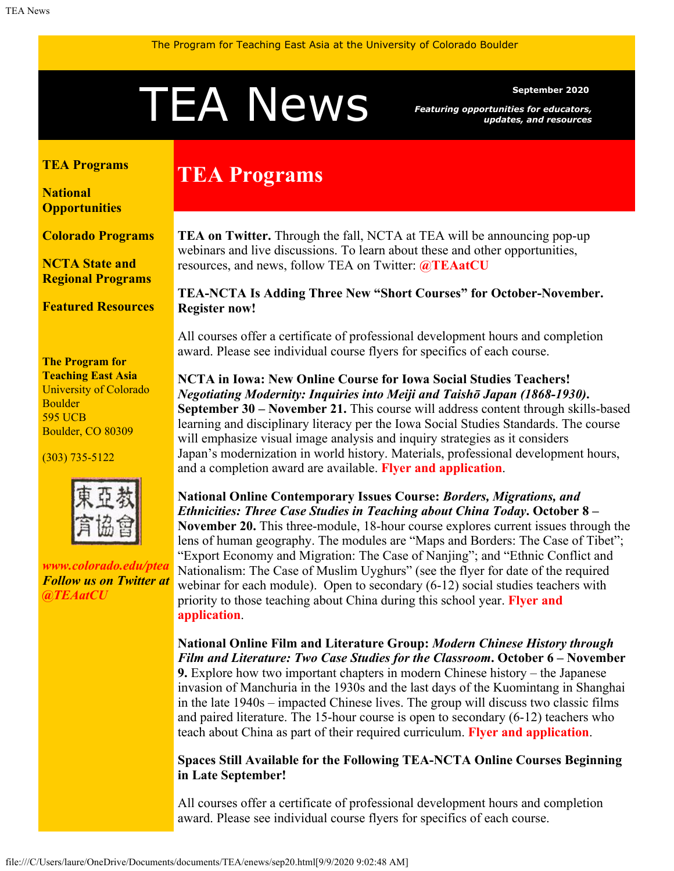# <span id="page-0-1"></span>September 2020<br>Featuring opportunities for educators,<br>updates, and resources

*Featuring opportunities for educators, updates, and resources*

#### <span id="page-0-0"></span>**[TEA Programs](#page-0-0)**

**[National](#page-0-1) [Opportunities](#page-0-1)**

**[Colorado Programs](#page-2-0)**

**[NCTA State and](#page-2-1) [Regional Programs](#page-2-1)**

**[Featured Resources](#page-2-2)**

#### **The Program for Teaching East Asia** University of Colorado Boulder 595 UCB Boulder, CO 80309

(303) 735-5122



*[www.colorado.edu/ptea](http://www.colorado.edu/cas/tea) Follow us on Twitter at [@TEAatCU](https://twitter.com/TEAatCU)*

# **TEA Programs**

**TEA on Twitter.** Through the fall, NCTA at TEA will be announcing pop-up webinars and live discussions. To learn about these and other opportunities, resources, and news, follow TEA on Twitter: **[@TEAatCU](https://twitter.com/TEAatCU)**

**TEA-NCTA Is Adding Three New "Short Courses" for October-November. Register now!**

All courses offer a certificate of professional development hours and completion award. Please see individual course flyers for specifics of each course.

**NCTA in Iowa: New Online Course for Iowa Social Studies Teachers!** *Negotiating Modernity: Inquiries into Meiji and Taishō Japan (1868-1930)***. September 30 – November 21.** This course will address content through skills-based learning and disciplinary literacy per the Iowa Social Studies Standards. The course will emphasize visual image analysis and inquiry strategies as it considers Japan's modernization in world history. Materials, professional development hours, and a completion award are available. **[Flyer and application](http://www.colorado.edu/ptea/nctaia2020)**.

**National Online Contemporary Issues Course:** *Borders, Migrations, and Ethnicities: Three Case Studies in Teaching about China Today***. October 8 – November 20.** This three-module, 18-hour course explores current issues through the lens of human geography. The modules are "Maps and Borders: The Case of Tibet"; "Export Economy and Migration: The Case of Nanjing"; and "Ethnic Conflict and Nationalism: The Case of Muslim Uyghurs" (see the flyer for date of the required webinar for each module). Open to secondary (6-12) social studies teachers with priority to those teaching about China during this school year. **[Flyer and](https://www.colorado.edu/ptea/sites/default/files/attached-files/chinacasestudies.pdf) [application](https://www.colorado.edu/ptea/sites/default/files/attached-files/chinacasestudies.pdf)**.

**National Online Film and Literature Group:** *Modern Chinese History through Film and Literature: Two Case Studies for the Classroom***. October 6 – November 9.** Explore how two important chapters in modern Chinese history – the Japanese invasion of Manchuria in the 1930s and the last days of the Kuomintang in Shanghai in the late 1940s – impacted Chinese lives. The group will discuss two classic films and paired literature. The 15-hour course is open to secondary (6-12) teachers who teach about China as part of their required curriculum. **[Flyer and application](https://www.colorado.edu/ptea/ChinaFilmLit)**.

**Spaces Still Available for the Following TEA-NCTA Online Courses Beginning in Late September!**

All courses offer a certificate of professional development hours and completion award. Please see individual course flyers for specifics of each course.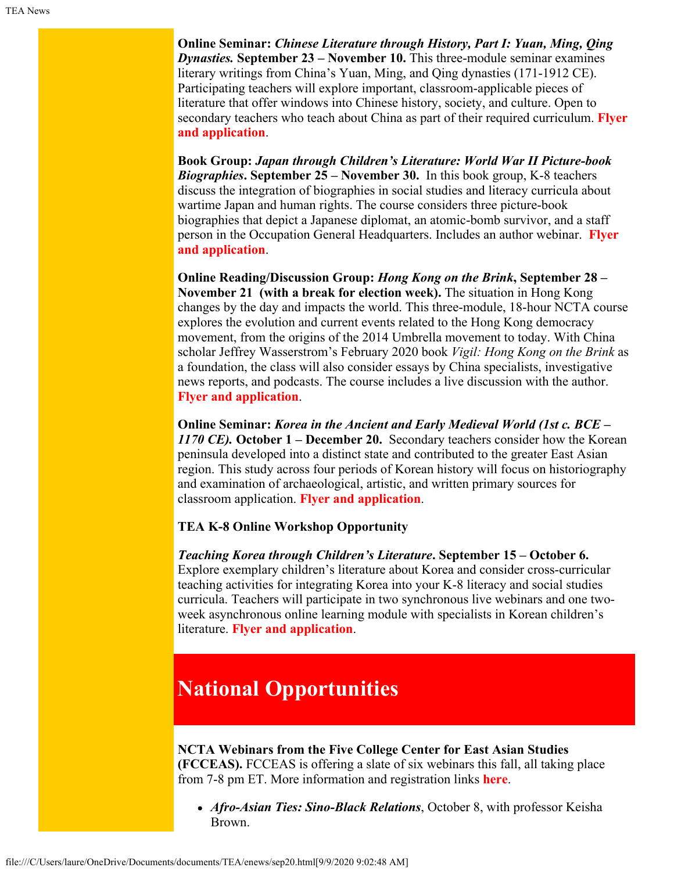**Online Seminar:** *Chinese Literature through History, Part I: Yuan, Ming, Qing Dynasties.* **September 23 – November 10.** This three-module seminar examines literary writings from China's Yuan, Ming, and Qing dynasties (171-1912 CE). Participating teachers will explore important, classroom-applicable pieces of literature that offer windows into Chinese history, society, and culture. Open to secondary teachers who teach about China as part of their required curriculum. **[Flyer](https://www.colorado.edu/ptea/sites/default/files/attached-files/lithistcourseflyerfall2020.pdf) [and application](https://www.colorado.edu/ptea/sites/default/files/attached-files/lithistcourseflyerfall2020.pdf)**.

**Book Group:** *Japan through Children's Literature: World War II Picture-book Biographies***. September 25 – November 30.** In this book group, K-8 teachers discuss the integration of biographies in social studies and literacy curricula about wartime Japan and human rights. The course considers three picture-book biographies that depict a Japanese diplomat, an atomic-bomb survivor, and a staff person in the Occupation General Headquarters. Includes an author webinar. **[Flyer](https://www.colorado.edu/ptea/sites/default/files/attached-files/fall2020jpkidlitbgflyer.pdf) [and application](https://www.colorado.edu/ptea/sites/default/files/attached-files/fall2020jpkidlitbgflyer.pdf)**.

**Online Reading/Discussion Group:** *Hong Kong on the Brink***, September 28 – November 21 (with a break for election week).** The situation in Hong Kong changes by the day and impacts the world. This three-module, 18-hour NCTA course explores the evolution and current events related to the Hong Kong democracy movement, from the origins of the 2014 Umbrella movement to today. With China scholar Jeffrey Wasserstrom's February 2020 book *Vigil: Hong Kong on the Brink* as a foundation, the class will also consider essays by China specialists, investigative news reports, and podcasts. The course includes a live discussion with the author. **[Flyer and application](https://www.colorado.edu/ptea/sites/default/files/attached-files/vigilhkfall2020flyer.pdf)**.

**Online Seminar:** *Korea in the Ancient and Early Medieval World (1st c. BCE – 1170 CE).* **October 1 – December 20.** Secondary teachers consider how the Korean peninsula developed into a distinct state and contributed to the greater East Asian region. This study across four periods of Korean history will focus on historiography and examination of archaeological, artistic, and written primary sources for classroom application. **[Flyer and application](https://www.colorado.edu/ptea/sites/default/files/attached-files/2020aemkoreacourseflyer.pdf)**.

## **TEA K-8 Online Workshop Opportunity**

*Teaching Korea through Children's Literature***. September 15 – October 6.** Explore exemplary children's literature about Korea and consider cross-curricular teaching activities for integrating Korea into your K-8 literacy and social studies curricula. Teachers will participate in two synchronous live webinars and one twoweek asynchronous online learning module with specialists in Korean children's literature. **[Flyer and application](https://www.colorado.edu/ptea/sites/default/files/attached-files/koreakidlit2020flyer.pdf)**.

# **National Opportunities**

## **NCTA Webinars from the Five College Center for East Asian Studies (FCCEAS).** FCCEAS is offering a slate of six webinars this fall, all taking place from 7-8 pm ET. More information and registration links **[here](https://www.fivecolleges.edu/fcceas/webinar)**.

*Afro-Asian Ties: Sino-Black Relations*, October 8, with professor Keisha Brown.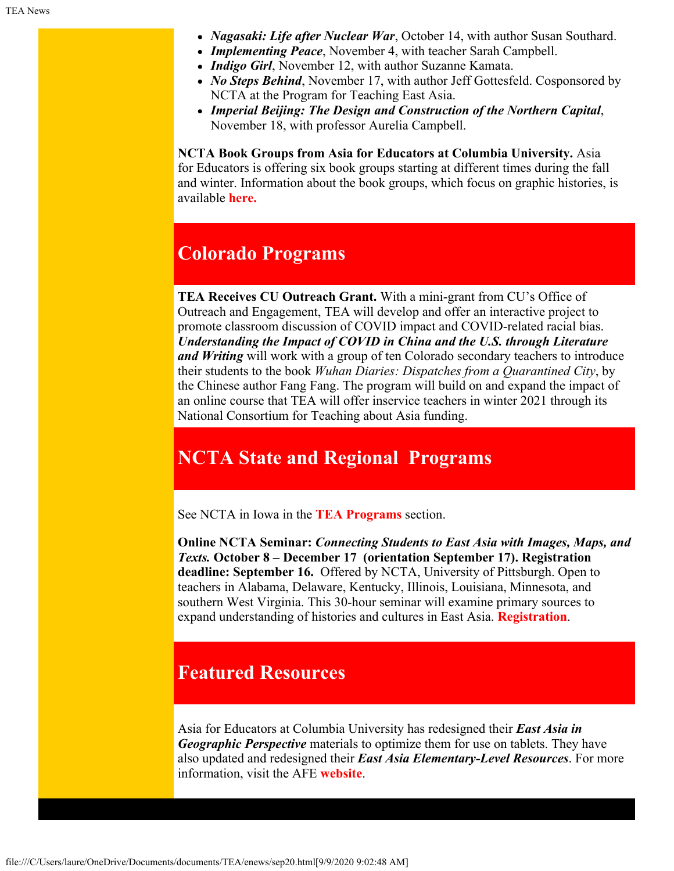- *Nagasaki: Life after Nuclear War*, October 14, with author Susan Southard.
- *Implementing Peace*, November 4, with teacher Sarah Campbell.
- *Indigo Girl*, November 12, with author Suzanne Kamata.
- *No Steps Behind*, November 17, with author Jeff Gottesfeld. Cosponsored by NCTA at the Program for Teaching East Asia.
- *Imperial Beijing: The Design and Construction of the Northern Capital*, November 18, with professor Aurelia Campbell.

**NCTA Book Groups from Asia for Educators at Columbia University.** Asia for Educators is offering six book groups starting at different times during the fall and winter. Information about the book groups, which focus on graphic histories, is available **[here.](http://afe.easia.columbia.edu/announcements/2020/BookGroupsFall20.html)**

## <span id="page-2-0"></span>**Colorado Programs**

**TEA Receives CU Outreach Grant.** With a mini-grant from CU's Office of Outreach and Engagement, TEA will develop and offer an interactive project to promote classroom discussion of COVID impact and COVID-related racial bias. *Understanding the Impact of COVID in China and the U.S. through Literature and Writing* will work with a group of ten Colorado secondary teachers to introduce their students to the book *Wuhan Diaries: Dispatches from a Quarantined City*, by the Chinese author Fang Fang. The program will build on and expand the impact of an online course that TEA will offer inservice teachers in winter 2021 through its National Consortium for Teaching about Asia funding.

## <span id="page-2-1"></span>**NCTA State and Regional Programs**

See NCTA in Iowa in the **[TEA Programs](#page-0-0)** section.

**Online NCTA Seminar:** *Connecting Students to East Asia with Images, Maps, and Texts.* **October 8 – December 17 (orientation September 17). Registration deadline: September 16.** Offered by NCTA, University of Pittsburgh. Open to teachers in Alabama, Delaware, Kentucky, Illinois, Louisiana, Minnesota, and southern West Virginia. This 30-hour seminar will examine primary sources to expand understanding of histories and cultures in East Asia. **[Registration](https://www.ucis.pitt.edu/ncta/seminar-site-states/alabama)**.

## <span id="page-2-2"></span>**Featured Resources**

Asia for Educators at Columbia University has redesigned their *East Asia in Geographic Perspective* materials to optimize them for use on tablets. They have also updated and redesigned their *East Asia Elementary-Level Resources*. For more information, visit the AFE **[website](http://afe.easia.columbia.edu/)**.